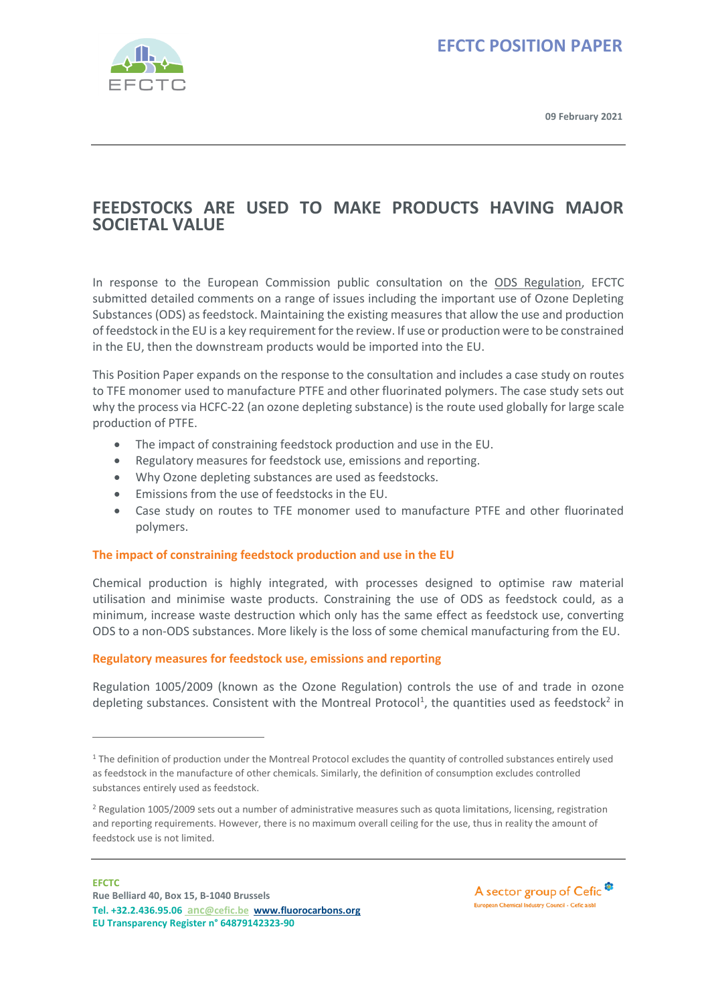

**09 February 2021**

### **FEEDSTOCKS ARE USED TO MAKE PRODUCTS HAVING MAJOR SOCIETAL VALUE**

In response to the European Commission public consultation on the [ODS Regulation,](https://www.fluorocarbons.org/regulation/ozone-depleting-substances-regulations/) EFCTC submitted detailed comments on a range of issues including the important use of Ozone Depleting Substances (ODS) as feedstock. Maintaining the existing measures that allow the use and production of feedstock in the EU is a key requirement for the review. If use or production were to be constrained in the EU, then the downstream products would be imported into the EU.

This Position Paper expands on the response to the consultation and includes a case study on routes to TFE monomer used to manufacture PTFE and other fluorinated polymers. The case study sets out why the process via HCFC-22 (an ozone depleting substance) is the route used globally for large scale production of PTFE.

- The impact of constraining feedstock production and use in the EU.
- Regulatory measures for feedstock use, emissions and reporting.
- Why Ozone depleting substances are used as feedstocks.
- Emissions from the use of feedstocks in the EU.
- Case study on routes to TFE monomer used to manufacture PTFE and other fluorinated polymers.

### **The impact of constraining feedstock production and use in the EU**

Chemical production is highly integrated, with processes designed to optimise raw material utilisation and minimise waste products. Constraining the use of ODS as feedstock could, as a minimum, increase waste destruction which only has the same effect as feedstock use, converting ODS to a non-ODS substances. More likely is the loss of some chemical manufacturing from the EU.

### **Regulatory measures for feedstock use, emissions and reporting**

Regulation 1005/2009 (known as the Ozone Regulation) controls the use of and trade in ozone depleting substances. Consistent with the Montreal Protocol<sup>1</sup>, the quantities used as feedstock<sup>2</sup> in

<sup>&</sup>lt;sup>1</sup> The definition of production under the Montreal Protocol excludes the quantity of controlled substances entirely used as feedstock in the manufacture of other chemicals. Similarly, the definition of consumption excludes controlled substances entirely used as feedstock.

<sup>&</sup>lt;sup>2</sup> Regulation 1005/2009 sets out a number of administrative measures such as quota limitations, licensing, registration and reporting requirements. However, there is no maximum overall ceiling for the use, thus in reality the amount of feedstock use is not limited.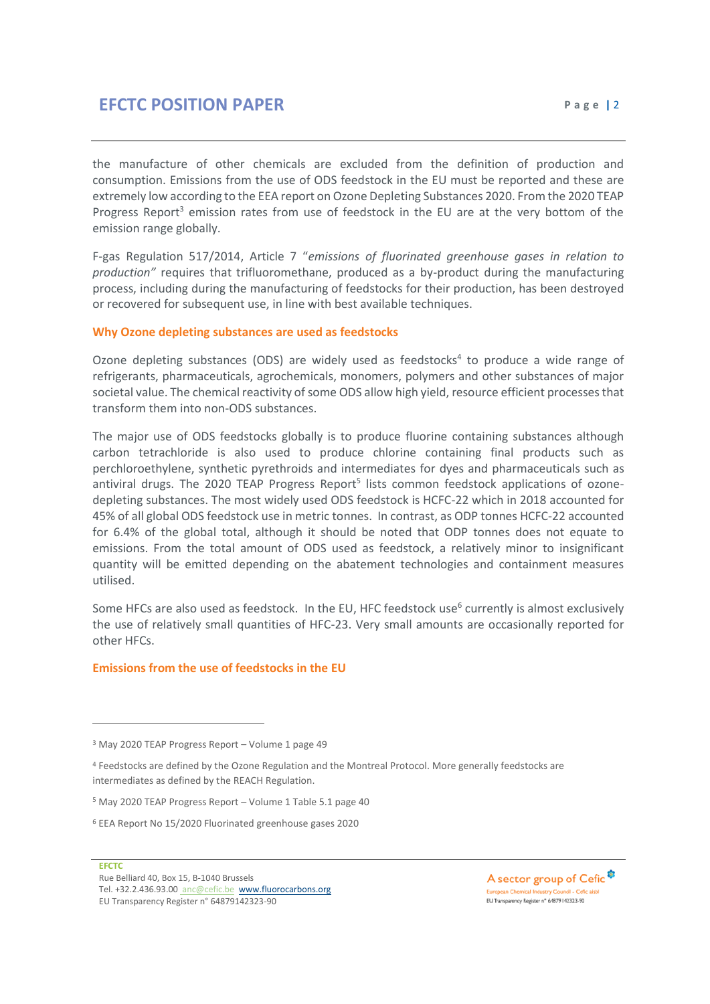the manufacture of other chemicals are excluded from the definition of production and consumption. Emissions from the use of ODS feedstock in the EU must be reported and these are extremely low according to the EEA report on Ozone Depleting Substances 2020. From the 2020 TEAP Progress Report<sup>3</sup> emission rates from use of feedstock in the EU are at the very bottom of the emission range globally.

F-gas Regulation 517/2014, Article 7 "*emissions of fluorinated greenhouse gases in relation to production"* requires that trifluoromethane, produced as a by-product during the manufacturing process, including during the manufacturing of feedstocks for their production, has been destroyed or recovered for subsequent use, in line with best available techniques.

#### **Why Ozone depleting substances are used as feedstocks**

Ozone depleting substances (ODS) are widely used as feedstocks<sup>4</sup> to produce a wide range of refrigerants, pharmaceuticals, agrochemicals, monomers, polymers and other substances of major societal value. The chemical reactivity of some ODS allow high yield, resource efficient processes that transform them into non-ODS substances.

The major use of ODS feedstocks globally is to produce fluorine containing substances although carbon tetrachloride is also used to produce chlorine containing final products such as perchloroethylene, synthetic pyrethroids and intermediates for dyes and pharmaceuticals such as antiviral drugs. The 2020 TEAP Progress Report<sup>5</sup> lists common feedstock applications of ozonedepleting substances. The most widely used ODS feedstock is HCFC-22 which in 2018 accounted for 45% of all global ODS feedstock use in metric tonnes. In contrast, as ODP tonnes HCFC-22 accounted for 6.4% of the global total, although it should be noted that ODP tonnes does not equate to emissions. From the total amount of ODS used as feedstock, a relatively minor to insignificant quantity will be emitted depending on the abatement technologies and containment measures utilised.

Some HFCs are also used as feedstock. In the EU, HFC feedstock use<sup>6</sup> currently is almost exclusively the use of relatively small quantities of HFC-23. Very small amounts are occasionally reported for other HFCs.

#### **Emissions from the use of feedstocks in the EU**

#### **EFCTC**

A sector group of Cefic<sup>®</sup> European Chemical Industry Council - Cefic aisbi EU Transparency Register nº 64879142323-90

<sup>&</sup>lt;sup>3</sup> May 2020 TEAP Progress Report - Volume 1 page 49

<sup>4</sup> Feedstocks are defined by the Ozone Regulation and the Montreal Protocol. More generally feedstocks are intermediates as defined by the REACH Regulation.

<sup>5</sup> May 2020 TEAP Progress Report – Volume 1 Table 5.1 page 40

<sup>6</sup> EEA Report No 15/2020 Fluorinated greenhouse gases 2020

Rue Belliard 40, Box 15, B-1040 Brussels Tel. +32.2.436.93.00 an[c@cefic.be](http://@cefic.be) [www.fluorocarbons.org](http://www.fluorocarbons.org/) EU Transparency Register n° 64879142323-90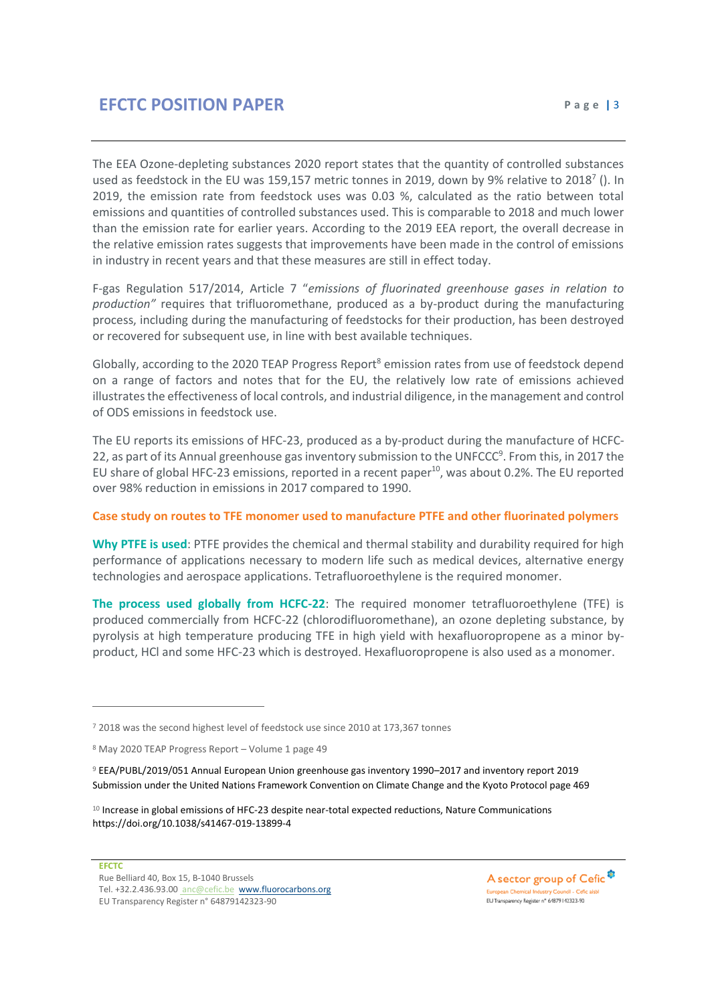The EEA Ozone-depleting substances 2020 report states that the quantity of controlled substances used as feedstock in the EU was 159,157 metric tonnes in 2019, down by 9% relative to 2018<sup>7</sup> (). In 2019, the emission rate from feedstock uses was 0.03 %, calculated as the ratio between total emissions and quantities of controlled substances used. This is comparable to 2018 and much lower than the emission rate for earlier years. According to the 2019 EEA report, the overall decrease in the relative emission rates suggests that improvements have been made in the control of emissions in industry in recent years and that these measures are still in effect today.

F-gas Regulation 517/2014, Article 7 "*emissions of fluorinated greenhouse gases in relation to production"* requires that trifluoromethane, produced as a by-product during the manufacturing process, including during the manufacturing of feedstocks for their production, has been destroyed or recovered for subsequent use, in line with best available techniques.

Globally, according to the 2020 TEAP Progress Report<sup>8</sup> emission rates from use of feedstock depend on a range of factors and notes that for the EU, the relatively low rate of emissions achieved illustrates the effectiveness of local controls, and industrial diligence, in the management and control of ODS emissions in feedstock use.

The EU reports its emissions of HFC-23, produced as a by-product during the manufacture of HCFC-22, as part of its Annual greenhouse gas inventory submission to the UNFCCC<sup>9</sup>. From this, in 2017 the EU share of global HFC-23 emissions, reported in a recent paper<sup>10</sup>, was about 0.2%. The EU reported over 98% reduction in emissions in 2017 compared to 1990.

### **Case study on routes to TFE monomer used to manufacture PTFE and other fluorinated polymers**

**Why PTFE is used**: PTFE provides the chemical and thermal stability and durability required for high performance of applications necessary to modern life such as medical devices, alternative energy technologies and aerospace applications. Tetrafluoroethylene is the required monomer.

**The process used globally from HCFC-22**: The required monomer tetrafluoroethylene (TFE) is produced commercially from HCFC-22 (chlorodifluoromethane), an ozone depleting substance, by pyrolysis at high temperature producing TFE in high yield with hexafluoropropene as a minor byproduct, HCl and some HFC-23 which is destroyed. Hexafluoropropene is also used as a monomer.

<sup>9</sup> EEA/PUBL/2019/051 Annual European Union greenhouse gas inventory 1990–2017 and inventory report 2019 Submission under the United Nations Framework Convention on Climate Change and the Kyoto Protocol page 469

A sector group of Cefic<sup>\$</sup> European Chemical Industry Council - Cefic aisb EU Transparency Register nº 64879142323-90

<sup>7</sup> 2018 was the second highest level of feedstock use since 2010 at 173,367 tonnes

<sup>8</sup> May 2020 TEAP Progress Report – Volume 1 page 49

<sup>10</sup> Increase in global emissions of HFC-23 despite near-total expected reductions, Nature Communications https://doi.org/10.1038/s41467-019-13899-4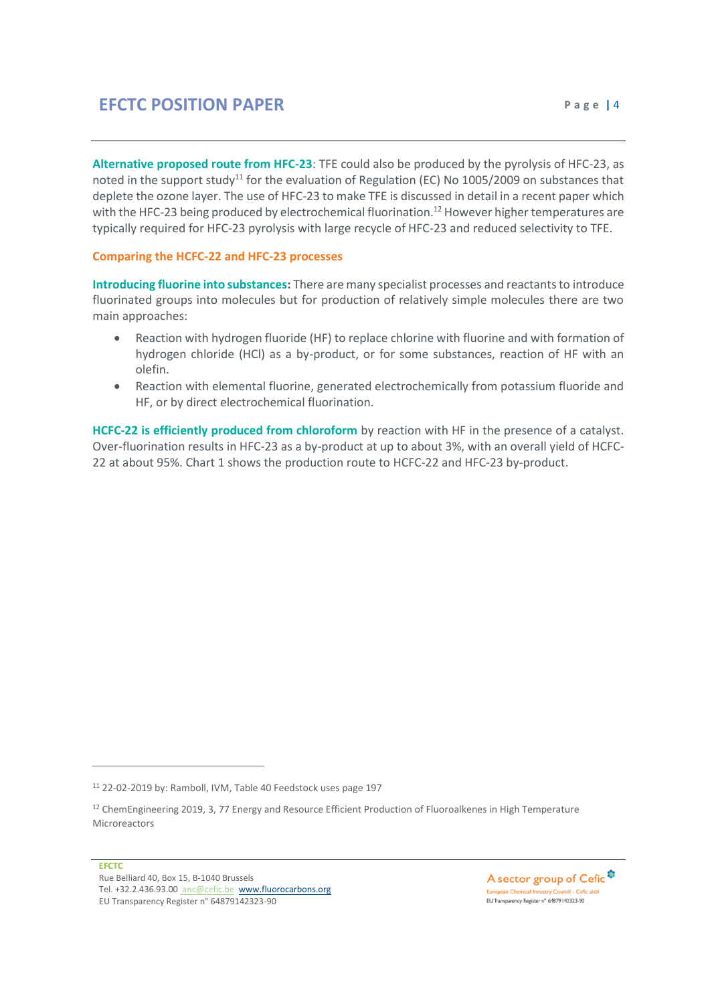**Alternative proposed route from HFC-23**: TFE could also be produced by the pyrolysis of HFC-23, as noted in the support study<sup>11</sup> for the evaluation of Regulation (EC) No 1005/2009 on substances that deplete the ozone layer. The use of HFC-23 to make TFE is discussed in detail in a recent paper which with the HFC-23 being produced by electrochemical fluorination.<sup>12</sup> However higher temperatures are typically required for HFC-23 pyrolysis with large recycle of HFC-23 and reduced selectivity to TFE.

#### **Comparing the HCFC-22 and HFC-23 processes**

**Introducing fluorine into substances:** There are many specialist processes and reactants to introduce fluorinated groups into molecules but for production of relatively simple molecules there are two main approaches:

- Reaction with hydrogen fluoride (HF) to replace chlorine with fluorine and with formation of hydrogen chloride (HCl) as a by-product, or for some substances, reaction of HF with an olefin.
- Reaction with elemental fluorine, generated electrochemically from potassium fluoride and HF, or by direct electrochemical fluorination.

**HCFC-22 is efficiently produced from chloroform** by reaction with HF in the presence of a catalyst. Over-fluorination results in HFC-23 as a by-product at up to about 3%, with an overall yield of HCFC-22 at about 95%. Chart 1 shows the production route to HCFC-22 and HFC-23 by-product.

A sector group of Cefic<sup>®</sup> European Chemical Industry Council - Cefic aisbi EU Transparency Register nº 64879142323-90

<sup>11</sup> 22-02-2019 by: Ramboll, IVM, Table 40 Feedstock uses page 197

<sup>&</sup>lt;sup>12</sup> ChemEngineering 2019, 3, 77 Energy and Resource Efficient Production of Fluoroalkenes in High Temperature Microreactors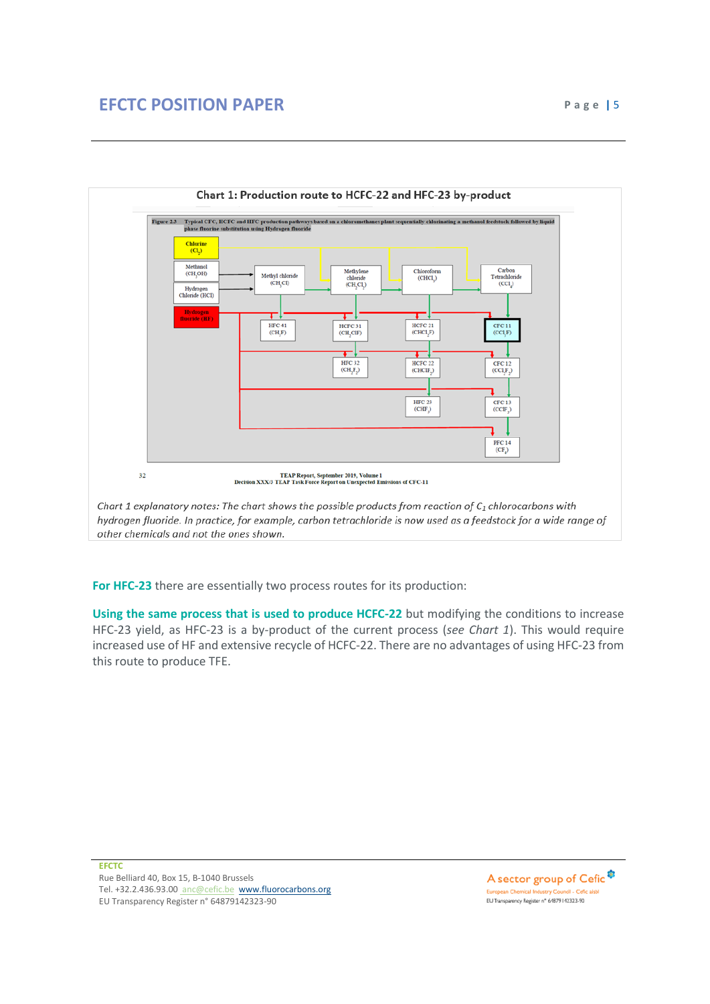



**For HFC-23** there are essentially two process routes for its production:

**Using the same process that is used to produce HCFC-22** but modifying the conditions to increase HFC-23 yield, as HFC-23 is a by-product of the current process (*see Chart 1*). This would require increased use of HF and extensive recycle of HCFC-22. There are no advantages of using HFC-23 from this route to produce TFE.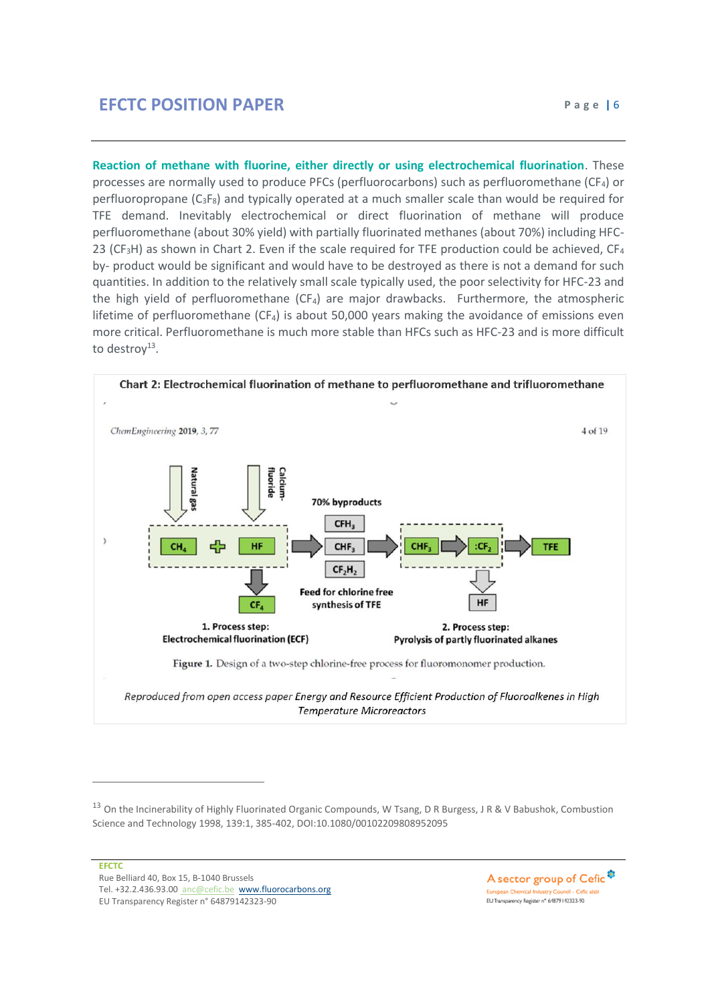**Reaction of methane with fluorine, either directly or using electrochemical fluorination**. These processes are normally used to produce PFCs (perfluorocarbons) such as perfluoromethane (CF4) or perfluoropropane  $(C_3F_8)$  and typically operated at a much smaller scale than would be required for TFE demand. Inevitably electrochemical or direct fluorination of methane will produce perfluoromethane (about 30% yield) with partially fluorinated methanes (about 70%) including HFC-23 (CF<sub>3</sub>H) as shown in Chart 2. Even if the scale required for TFE production could be achieved, CF<sub>4</sub> by- product would be significant and would have to be destroyed as there is not a demand for such quantities. In addition to the relatively small scale typically used, the poor selectivity for HFC-23 and the high yield of perfluoromethane  $(CF_4)$  are major drawbacks. Furthermore, the atmospheric lifetime of perfluoromethane  $(CF_4)$  is about 50,000 years making the avoidance of emissions even more critical. Perfluoromethane is much more stable than HFCs such as HFC-23 and is more difficult to destroy<sup>13</sup>.



A sector group of Cefic<sup>®</sup> European Chemical Industry Council - Cefic aisb EU Transparency Register nº 64879142323-90

<sup>&</sup>lt;sup>13</sup> On the Incinerability of Highly Fluorinated Organic Compounds, W Tsang, D R Burgess, J R & V Babushok, Combustion Science and Technology 1998, 139:1, 385-402, DOI:10.1080/00102209808952095